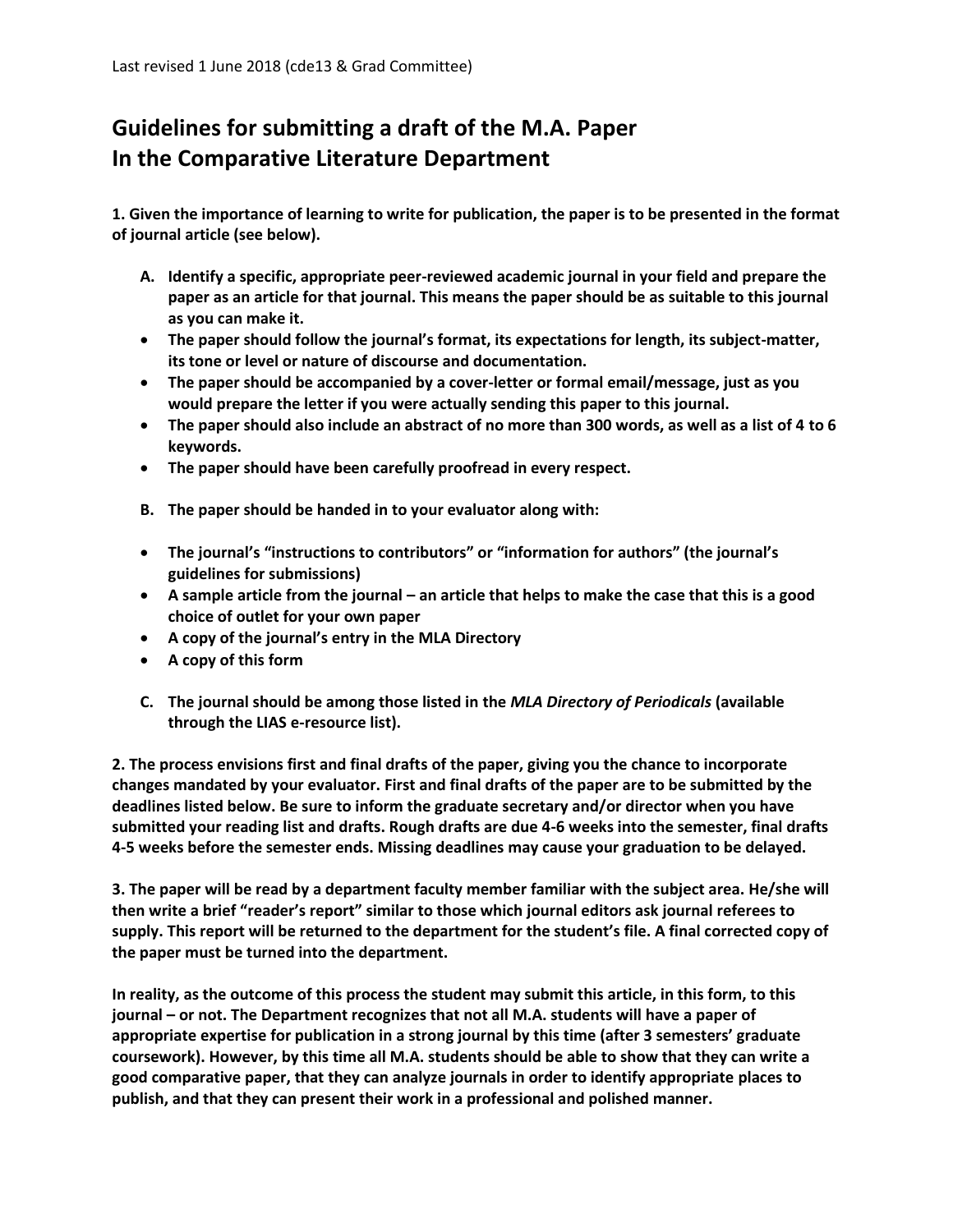## **Guidelines for submitting a draft of the M.A. Paper In the Comparative Literature Department**

**1. Given the importance of learning to write for publication, the paper is to be presented in the format of journal article (see below).** 

- **A. Identify a specific, appropriate peer-reviewed academic journal in your field and prepare the paper as an article for that journal. This means the paper should be as suitable to this journal as you can make it.**
- **The paper should follow the journal's format, its expectations for length, its subject-matter, its tone or level or nature of discourse and documentation.**
- **The paper should be accompanied by a cover-letter or formal email/message, just as you would prepare the letter if you were actually sending this paper to this journal.**
- **The paper should also include an abstract of no more than 300 words, as well as a list of 4 to 6 keywords.**
- **The paper should have been carefully proofread in every respect.**
- **B. The paper should be handed in to your evaluator along with:**
- **The journal's "instructions to contributors" or "information for authors" (the journal's guidelines for submissions)**
- **A sample article from the journal – an article that helps to make the case that this is a good choice of outlet for your own paper**
- **A copy of the journal's entry in the MLA Directory**
- **A copy of this form**
- **C. The journal should be among those listed in the** *MLA Directory of Periodicals* **(available through the LIAS e-resource list).**

**2. The process envisions first and final drafts of the paper, giving you the chance to incorporate changes mandated by your evaluator. First and final drafts of the paper are to be submitted by the deadlines listed below. Be sure to inform the graduate secretary and/or director when you have submitted your reading list and drafts. Rough drafts are due 4-6 weeks into the semester, final drafts 4-5 weeks before the semester ends. Missing deadlines may cause your graduation to be delayed.** 

**3. The paper will be read by a department faculty member familiar with the subject area. He/she will then write a brief "reader's report" similar to those which journal editors ask journal referees to supply. This report will be returned to the department for the student's file. A final corrected copy of the paper must be turned into the department.** 

**In reality, as the outcome of this process the student may submit this article, in this form, to this journal – or not. The Department recognizes that not all M.A. students will have a paper of appropriate expertise for publication in a strong journal by this time (after 3 semesters' graduate coursework). However, by this time all M.A. students should be able to show that they can write a good comparative paper, that they can analyze journals in order to identify appropriate places to publish, and that they can present their work in a professional and polished manner.**